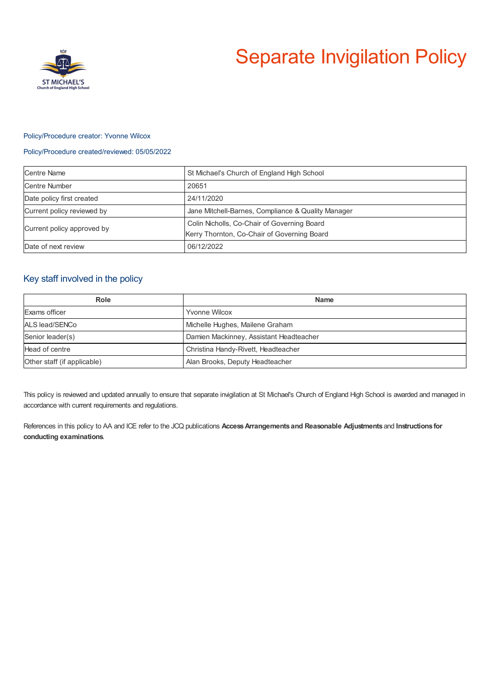

# Separate Invigilation Policy

#### Policy/Procedure creator: Yvonne Wilcox

#### Policy/Procedure created/reviewed: 05/05/2022

| <b>Centre Name</b>         | St Michael's Church of England High School                                                 |
|----------------------------|--------------------------------------------------------------------------------------------|
| Centre Number              | 20651                                                                                      |
| Date policy first created  | 24/11/2020                                                                                 |
| Current policy reviewed by | Jane Mitchell-Barnes, Compliance & Quality Manager                                         |
| Current policy approved by | Colin Nicholls, Co-Chair of Governing Board<br>Kerry Thornton, Co-Chair of Governing Board |
| Date of next review        | 06/12/2022                                                                                 |

### Key staff involved in the policy

| Role                        | <b>Name</b>                             |
|-----------------------------|-----------------------------------------|
| Exams officer               | <b>Yvonne Wilcox</b>                    |
| ALS lead/SENCo              | Michelle Hughes, Mailene Graham         |
| Senior leader(s)            | Damien Mackinney, Assistant Headteacher |
| Head of centre              | Christina Handy-Rivett, Headteacher     |
| Other staff (if applicable) | Alan Brooks, Deputy Headteacher         |

This policy is reviewed and updated annually to ensure that separate invigilation at St Michael's Church of England High School is awarded and managed in accordance with current requirements and regulations.

References in this policy to AA and ICE refer to the JCQ publications **AccessArrangements and Reasonable Adjustments** and **Instructions for conducting examinations**.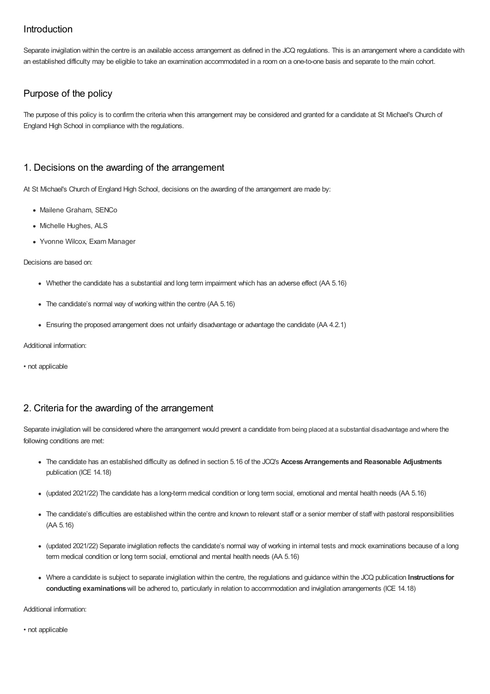## Introduction

Separate invigilation within the centre is an available access arrangement as defined in the JCQ regulations. This is an arrangement where a candidate with an established difficulty may be eligible to take an examination accommodated in a room on a one-to-one basis and separate to the main cohort.

# Purpose of the policy

The purpose of this policy is to confirm the criteria when this arrangement may be considered and granted for a candidate at St Michael's Church of England High School in compliance with the regulations.

## 1. Decisions on the awarding of the arrangement

At St Michael's Church of England High School, decisions on the awarding of the arrangement are made by:

- Mailene Graham, SENCo
- Michelle Hughes, ALS
- Yvonne Wilcox, Exam Manager

#### Decisions are based on:

- Whether the candidate has a substantial and long term impairment which has an adverse effect (AA 5.16)
- The candidate's normal way of working within the centre (AA 5.16)
- Ensuring the proposed arrangement does not unfairly disadvantage or advantage the candidate (AA 4.2.1)

Additional information:

• not applicable

## 2. Criteria for the awarding of the arrangement

Separate invigilation will be considered where the arrangement would prevent a candidate from being placed at a substantial disadvantage and where the following conditions are met:

- The candidate has an established difficulty as defined in section 5.16 of the JCQ's **AccessArrangements and Reasonable Adjustments** publication (ICE 14.18)
- (updated 2021/22) The candidate has a long-term medical condition or long term social, emotional and mental health needs (AA 5.16)
- The candidate's difficulties are established within the centre and known to relevant staff or a senior member of staff with pastoral responsibilities (AA 5.16)
- (updated 2021/22) Separate invigilation reflects the candidate's normal way of working in internal tests and mock examinations because of a long term medical condition or long term social, emotional and mental health needs (AA 5.16)
- Where a candidate is subject to separate invigilation within the centre, the regulations and guidance within the JCQ publication **Instructions for conducting examinations**will be adhered to, particularly in relation to accommodation and invigilation arrangements (ICE 14.18)

Additional information:

• not applicable